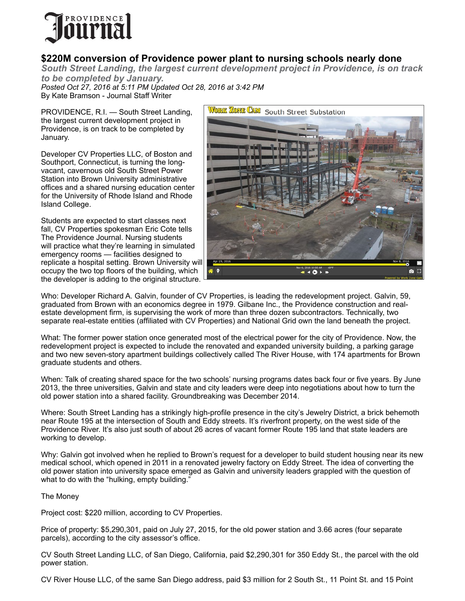

## **\$220M conversion of Providence power plant to nursing schools nearly done**

*South Street Landing, the largest current development project in Providence, is on track to be completed by January.*

*Posted Oct 27, 2016 at 5:11 PM Updated Oct 28, 2016 at 3:42 PM* By Kate Bramson - Journal Staff Writer

PROVIDENCE, R.I. — South Street Landing, the largest current development project in Providence, is on track to be completed by January.

Developer CV Properties LLC, of Boston and Southport, Connecticut, is turning the longvacant, cavernous old South Street Power Station into Brown University administrative offices and a shared nursing education center for the University of Rhode Island and Rhode Island College.

Students are expected to start classes next fall, CV Properties spokesman Eric Cote tells The Providence Journal. Nursing students will practice what they're learning in simulated emergency rooms — facilities designed to replicate a hospital setting. Brown University wil[l](https://www.workzonecam.com/projects/trcsolutions/southstreetsubstation/workzonecam)  occupy the two top floors of the building, which the developer is adding to the original structure.



Who: Developer Richard A. Galvin, founder of CV Properties, is leading the redevelopment project. Galvin, 59, graduated from Brown with an economics degree in 1979. Gilbane Inc., the Providence construction and realestate development firm, is supervising the work of more than three dozen subcontractors. Technically, two separate real-estate entities (affiliated with CV Properties) and National Grid own the land beneath the project.

What: The former power station once generated most of the electrical power for the city of Providence. Now, the redevelopment project is expected to include the renovated and expanded university building, a parking garage and two new seven-story apartment buildings collectively called The River House, with 174 apartments for Brown graduate students and others.

When: Talk of creating shared space for the two schools' nursing programs dates back four or five years. By June 2013, the three universities, Galvin and state and city leaders were deep into negotiations about how to turn the old power station into a shared facility. Groundbreaking was December 2014.

Where: South Street Landing has a strikingly high-profile presence in the city's Jewelry District, a brick behemoth near Route 195 at the intersection of South and Eddy streets. It's riverfront property, on the west side of the Providence River. It's also just south of about 26 acres of vacant former Route 195 land that state leaders are working to develop.

Why: Galvin got involved when he replied to Brown's request for a developer to build student housing near its new medical school, which opened in 2011 in a renovated jewelry factory on Eddy Street. The idea of converting the old power station into university space emerged as Galvin and university leaders grappled with the question of what to do with the "hulking, empty building."

The Money

Project cost: \$220 million, according to CV Properties.

Price of property: \$5,290,301, paid on July 27, 2015, for the old power station and 3.66 acres (four separate parcels), according to the city assessor's office.

CV South Street Landing LLC, of San Diego, California, paid \$2,290,301 for 350 Eddy St., the parcel with the old power station.

CV River House LLC, of the same San Diego address, paid \$3 million for 2 South St., 11 Point St. and 15 Point